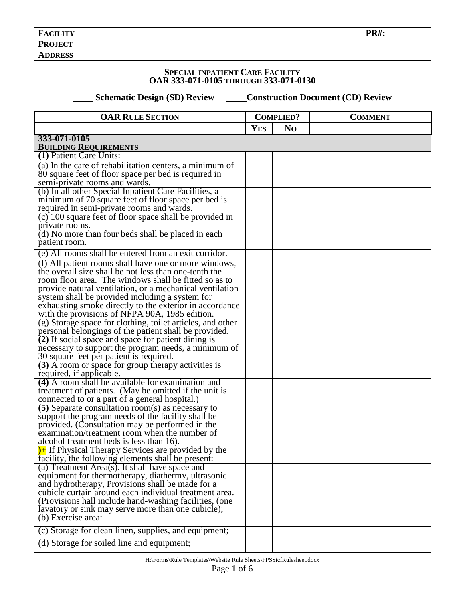| <b>PR#:</b><br><b>FACILITY</b> |  |
|--------------------------------|--|
| <b>PROJECT</b>                 |  |
| <b>ADDRESS</b>                 |  |

## **SPECIAL INPATIENT CARE FACILITY OAR 333-071-0105 THROUGH 333-071-0130**

 **Schematic Design (SD) Review Construction Document (CD) Review** 

| <b>OAR RULE SECTION</b>                                                                                        | <b>COMPLIED?</b> |                | <b>COMMENT</b> |
|----------------------------------------------------------------------------------------------------------------|------------------|----------------|----------------|
|                                                                                                                | <b>YES</b>       | N <sub>O</sub> |                |
| 333-071-0105                                                                                                   |                  |                |                |
| <b>BUILDING REQUIREMENTS</b>                                                                                   |                  |                |                |
| (1) Patient Care Units:                                                                                        |                  |                |                |
| (a) In the care of rehabilitation centers, a minimum of                                                        |                  |                |                |
| 80 square feet of floor space per bed is required in                                                           |                  |                |                |
| semi-private rooms and wards.                                                                                  |                  |                |                |
| (b) In all other Special Inpatient Care Facilities, a                                                          |                  |                |                |
| minimum of 70 square feet of floor space per bed is<br>required in semi-private rooms and wards.               |                  |                |                |
| (c) $100$ square feet of floor space shall be provided in                                                      |                  |                |                |
| private rooms.                                                                                                 |                  |                |                |
| (d) No more than four beds shall be placed in each                                                             |                  |                |                |
| patient room.                                                                                                  |                  |                |                |
| (e) All rooms shall be entered from an exit corridor.                                                          |                  |                |                |
|                                                                                                                |                  |                |                |
| (f) All patient rooms shall have one or more windows,<br>the overall size shall be not less than one-tenth the |                  |                |                |
| room floor area. The windows shall be fitted so as to                                                          |                  |                |                |
| provide natural ventilation, or a mechanical ventilation                                                       |                  |                |                |
| system shall be provided including a system for                                                                |                  |                |                |
| exhausting smoke directly to the exterior in accordance                                                        |                  |                |                |
| with the provisions of NFPA 90A, 1985 edition.                                                                 |                  |                |                |
| (g) Storage space for clothing, toilet articles, and other                                                     |                  |                |                |
| personal belongings of the patient shall be provided.                                                          |                  |                |                |
| (2) If social space and space for patient dining is                                                            |                  |                |                |
| necessary to support the program needs, a minimum of                                                           |                  |                |                |
| 30 square feet per patient is required.                                                                        |                  |                |                |
| (3) A room or space for group therapy activities is                                                            |                  |                |                |
| required, if applicable.                                                                                       |                  |                |                |
| (4) A room shall be available for examination and                                                              |                  |                |                |
| treatment of patients. (May be omitted if the unit is                                                          |                  |                |                |
| connected to or a part of a general hospital.)<br>$(5)$ Separate consultation room(s) as necessary to          |                  |                |                |
| support the program needs of the facility shall be                                                             |                  |                |                |
| provided. (Consultation may be performed in the                                                                |                  |                |                |
| examination/treatment room when the number of                                                                  |                  |                |                |
| alcohol treatment beds is less than 16).                                                                       |                  |                |                |
| <sup>1</sup> If Physical Therapy Services are provided by the                                                  |                  |                |                |
| facility, the following elements shall be present:                                                             |                  |                |                |
| (a) Treatment Area(s). It shall have space and                                                                 |                  |                |                |
| equipment for thermotherapy, diathermy, ultrasonic                                                             |                  |                |                |
| and hydrotherapy, Provisions shall be made for a                                                               |                  |                |                |
| cubicle curtain around each individual treatment area.                                                         |                  |                |                |
| (Provisions hall include hand-washing facilities, (one)                                                        |                  |                |                |
| lavatory or sink may serve more than one cubicle);<br>(b) Exercise area:                                       |                  |                |                |
|                                                                                                                |                  |                |                |
| (c) Storage for clean linen, supplies, and equipment;                                                          |                  |                |                |
| (d) Storage for soiled line and equipment;                                                                     |                  |                |                |
|                                                                                                                |                  |                |                |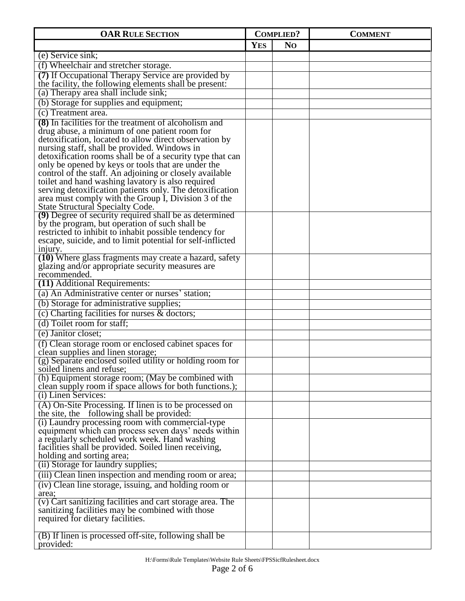| <b>OAR RULE SECTION</b>                                                                                         | <b>COMPLIED?</b> |                | <b>COMMENT</b> |
|-----------------------------------------------------------------------------------------------------------------|------------------|----------------|----------------|
|                                                                                                                 | <b>YES</b>       | N <sub>O</sub> |                |
| (e) Service sink;                                                                                               |                  |                |                |
| (f) Wheelchair and stretcher storage.                                                                           |                  |                |                |
| (7) If Occupational Therapy Service are provided by                                                             |                  |                |                |
| the facility, the following elements shall be present:                                                          |                  |                |                |
| (a) Therapy area shall include sink;                                                                            |                  |                |                |
| (b) Storage for supplies and equipment;                                                                         |                  |                |                |
| (c) Treatment area.                                                                                             |                  |                |                |
| (8) In facilities for the treatment of alcoholism and                                                           |                  |                |                |
| drug abuse, a minimum of one patient room for                                                                   |                  |                |                |
| detoxification, located to allow direct observation by                                                          |                  |                |                |
| nursing staff, shall be provided. Windows in                                                                    |                  |                |                |
| detoxification rooms shall be of a security type that can<br>only be opened by keys or tools that are under the |                  |                |                |
| control of the staff. An adjoining or closely available                                                         |                  |                |                |
| toilet and hand washing lavatory is also required                                                               |                  |                |                |
| serving detoxification patients only. The detoxification                                                        |                  |                |                |
| area must comply with the Group I, Division 3 of the                                                            |                  |                |                |
| State Structural Specialty Code.                                                                                |                  |                |                |
| (9) Degree of security required shall be as determined                                                          |                  |                |                |
| by the program, but operation of such shall be<br>restricted to inhibit to inhabit possible tendency for        |                  |                |                |
| escape, suicide, and to limit potential for self-inflicted                                                      |                  |                |                |
| injury.                                                                                                         |                  |                |                |
| (10) Where glass fragments may create a hazard, safety                                                          |                  |                |                |
| glazing and/or appropriate security measures are                                                                |                  |                |                |
| recommended.                                                                                                    |                  |                |                |
| (11) Additional Requirements:                                                                                   |                  |                |                |
| (a) An Administrative center or nurses' station;                                                                |                  |                |                |
| (b) Storage for administrative supplies;                                                                        |                  |                |                |
| (c) Charting facilities for nurses & doctors;                                                                   |                  |                |                |
| (d) Toilet room for staff:                                                                                      |                  |                |                |
| (e) Janitor closet;                                                                                             |                  |                |                |
| (f) Clean storage room or enclosed cabinet spaces for                                                           |                  |                |                |
| clean supplies and linen storage;                                                                               |                  |                |                |
| (g) Separate enclosed soiled utility or holding room for<br>soiled linens and refuse;                           |                  |                |                |
| (h) Equipment storage room; (May be combined with                                                               |                  |                |                |
| clean supply room if space allows for both functions.);                                                         |                  |                |                |
| (i) Linen Services:                                                                                             |                  |                |                |
| (A) On-Site Processing. If linen is to be processed on                                                          |                  |                |                |
| the site, the following shall be provided:                                                                      |                  |                |                |
| (i) Laundry processing room with commercial-type                                                                |                  |                |                |
| equipment which can process seven days' needs within                                                            |                  |                |                |
| a regularly scheduled work week. Hand washing                                                                   |                  |                |                |
| facilities shall be provided. Soiled linen receiving,                                                           |                  |                |                |
| holding and sorting area;<br>(ii) Storage for laundry supplies;                                                 |                  |                |                |
| (iii) Clean linen inspection and mending room or area;                                                          |                  |                |                |
| (iv) Clean line storage, issuing, and holding room or                                                           |                  |                |                |
| area;                                                                                                           |                  |                |                |
| (v) Cart sanitizing facilities and cart storage area. The                                                       |                  |                |                |
| sanitizing facilities may be combined with those                                                                |                  |                |                |
| required for dietary facilities.                                                                                |                  |                |                |
|                                                                                                                 |                  |                |                |
| (B) If linen is processed off-site, following shall be<br>provided:                                             |                  |                |                |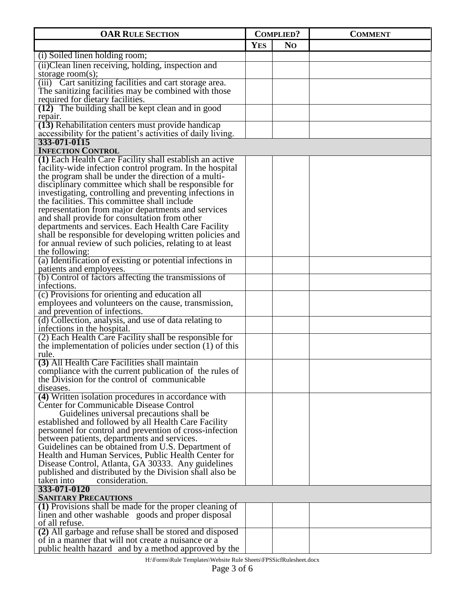| <b>OAR RULE SECTION</b>                                                                                             | <b>COMPLIED?</b> |                | <b>COMMENT</b> |
|---------------------------------------------------------------------------------------------------------------------|------------------|----------------|----------------|
|                                                                                                                     | <b>YES</b>       | N <sub>O</sub> |                |
| (i) Soiled linen holding room;                                                                                      |                  |                |                |
| (ii) Clean linen receiving, holding, inspection and                                                                 |                  |                |                |
| storage room $(s)$ ;                                                                                                |                  |                |                |
| (iii) Cart sanitizing facilities and cart storage area.                                                             |                  |                |                |
| The sanitizing facilities may be combined with those                                                                |                  |                |                |
| required for dietary facilities.<br>(12) The building shall be kept clean and in good                               |                  |                |                |
| repair.                                                                                                             |                  |                |                |
| (13) Rehabilitation centers must provide handicap                                                                   |                  |                |                |
| accessibility for the patient's activities of daily living.                                                         |                  |                |                |
| 333-071-0115                                                                                                        |                  |                |                |
| <b>INFECTION CONTROL</b>                                                                                            |                  |                |                |
| (1) Each Health Care Facility shall establish an active<br>facility-wide infection control program. In the hospital |                  |                |                |
| the program shall be under the direction of a multi-                                                                |                  |                |                |
| disciplinary committee which shall be responsible for                                                               |                  |                |                |
| investigating, controlling and preventing infections in                                                             |                  |                |                |
| the facilities. This committee shall include                                                                        |                  |                |                |
| representation from major departments and services                                                                  |                  |                |                |
| and shall provide for consultation from other                                                                       |                  |                |                |
| departments and services. Each Health Care Facility<br>shall be responsible for developing written policies and     |                  |                |                |
| for annual review of such policies, relating to at least                                                            |                  |                |                |
| the following:                                                                                                      |                  |                |                |
| (a) Identification of existing or potential infections in                                                           |                  |                |                |
| patients and employees.                                                                                             |                  |                |                |
| (b) Control of factors affecting the transmissions of                                                               |                  |                |                |
| infections.                                                                                                         |                  |                |                |
| (c) Provisions for orienting and education all<br>employees and volunteers on the cause, transmission,              |                  |                |                |
| and prevention of infections.                                                                                       |                  |                |                |
| (d) Collection, analysis, and use of data relating to                                                               |                  |                |                |
| infections in the hospital.                                                                                         |                  |                |                |
| (2) Each Health Care Facility shall be responsible for                                                              |                  |                |                |
| the implementation of policies under section $(1)$ of this                                                          |                  |                |                |
| rule.<br>(3) All Health Care Facilities shall maintain                                                              |                  |                |                |
| compliance with the current publication of the rules of                                                             |                  |                |                |
| the Division for the control of communicable                                                                        |                  |                |                |
| diseases.                                                                                                           |                  |                |                |
| (4) Written isolation procedures in accordance with                                                                 |                  |                |                |
| <b>Center for Communicable Disease Control</b>                                                                      |                  |                |                |
| Guidelines universal precautions shall be                                                                           |                  |                |                |
| established and followed by all Health Care Facility<br>personnel for control and prevention of cross-infection     |                  |                |                |
| between patients, departments and services.                                                                         |                  |                |                |
| Guidelines can be obtained from U.S. Department of                                                                  |                  |                |                |
| Health and Human Services, Public Health Center for                                                                 |                  |                |                |
| Disease Control, Atlanta, GA 30333. Any guidelines                                                                  |                  |                |                |
| published and distributed by the Division shall also be                                                             |                  |                |                |
| taken into<br>consideration.<br>333-071-0120                                                                        |                  |                |                |
| <b>SANITARY PRECAUTIONS</b>                                                                                         |                  |                |                |
| (1) Provisions shall be made for the proper cleaning of                                                             |                  |                |                |
| linen and other washable goods and proper disposal                                                                  |                  |                |                |
| of all refuse.                                                                                                      |                  |                |                |
| (2) All garbage and refuse shall be stored and disposed                                                             |                  |                |                |
| of in a manner that will not create a nuisance or a                                                                 |                  |                |                |
| public health hazard and by a method approved by the                                                                |                  |                |                |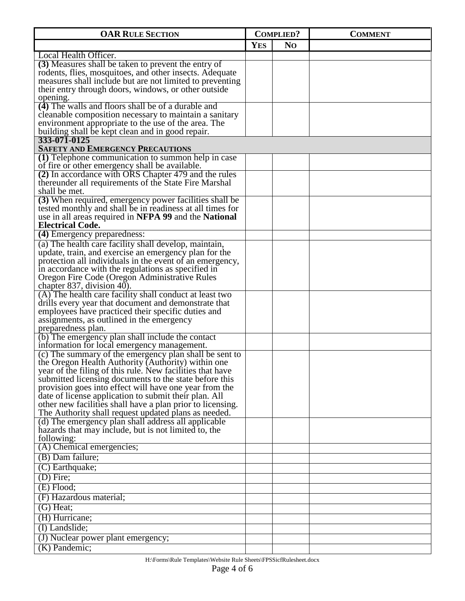| <b>OAR RULE SECTION</b>                                                                                         | <b>COMPLIED?</b> |                | <b>COMMENT</b> |
|-----------------------------------------------------------------------------------------------------------------|------------------|----------------|----------------|
|                                                                                                                 | <b>YES</b>       | N <sub>O</sub> |                |
| Local Health Officer.                                                                                           |                  |                |                |
| (3) Measures shall be taken to prevent the entry of                                                             |                  |                |                |
| rodents, flies, mosquitoes, and other insects. Adequate                                                         |                  |                |                |
| measures shall include but are not limited to preventing                                                        |                  |                |                |
| their entry through doors, windows, or other outside                                                            |                  |                |                |
| opening.                                                                                                        |                  |                |                |
| (4) The walls and floors shall be of a durable and                                                              |                  |                |                |
| cleanable composition necessary to maintain a sanitary<br>environment appropriate to the use of the area. The   |                  |                |                |
| building shall be kept clean and in good repair.                                                                |                  |                |                |
| 333-071-0125                                                                                                    |                  |                |                |
| <b>SAFETY AND EMERGENCY PRECAUTIONS</b>                                                                         |                  |                |                |
| (1) Telephone communication to summon help in case                                                              |                  |                |                |
| of fire or other emergency shall be available.                                                                  |                  |                |                |
| (2) In accordance with ORS Chapter 479 and the rules                                                            |                  |                |                |
| thereunder all requirements of the State Fire Marshal<br>shall be met.                                          |                  |                |                |
| (3) When required, emergency power facilities shall be                                                          |                  |                |                |
| tested monthly and shall be in readiness at all times for                                                       |                  |                |                |
| use in all areas required in NFPA 99 and the National                                                           |                  |                |                |
| <b>Electrical Code.</b>                                                                                         |                  |                |                |
| (4) Emergency preparedness:                                                                                     |                  |                |                |
| (a) The health care facility shall develop, maintain,                                                           |                  |                |                |
| update, train, and exercise an emergency plan for the                                                           |                  |                |                |
| protection all individuals in the event of an emergency,                                                        |                  |                |                |
| in accordance with the regulations as specified in                                                              |                  |                |                |
| Oregon Fire Code (Oregon Administrative Rules<br>chapter 837, division 40).                                     |                  |                |                |
| (A) The health care facility shall conduct at least two                                                         |                  |                |                |
| drills every year that document and demonstrate that                                                            |                  |                |                |
| employees have practiced their specific duties and                                                              |                  |                |                |
| assignments, as outlined in the emergency                                                                       |                  |                |                |
| preparedness plan.                                                                                              |                  |                |                |
| (b) The emergency plan shall include the contact                                                                |                  |                |                |
| information for local emergency management.                                                                     |                  |                |                |
| (c) The summary of the emergency plan shall be sent to                                                          |                  |                |                |
| the Oregon Health Authority (Authority) within one<br>year of the filing of this rule. New facilities that have |                  |                |                |
| submitted licensing documents to the state before this                                                          |                  |                |                |
| provision goes into effect will have one year from the                                                          |                  |                |                |
| date of license application to submit their plan. All                                                           |                  |                |                |
| other new facilities shall have a plan prior to licensing.                                                      |                  |                |                |
| The Authority shall request updated plans as needed.                                                            |                  |                |                |
| (d) The emergency plan shall address all applicable                                                             |                  |                |                |
| hazards that may include, but is not limited to, the<br>following:                                              |                  |                |                |
| (A) Chemical emergencies;                                                                                       |                  |                |                |
| (B) Dam failure;                                                                                                |                  |                |                |
| $(C)$ Earthquake;                                                                                               |                  |                |                |
| $(D)$ Fire;                                                                                                     |                  |                |                |
| $(E)$ Flood;                                                                                                    |                  |                |                |
|                                                                                                                 |                  |                |                |
| (F) Hazardous material;                                                                                         |                  |                |                |
| $(G)$ Heat;                                                                                                     |                  |                |                |
| (H) Hurricane;                                                                                                  |                  |                |                |
| (I) Landslide;                                                                                                  |                  |                |                |
| (J) Nuclear power plant emergency;                                                                              |                  |                |                |
| $(K)$ Pandemic;                                                                                                 |                  |                |                |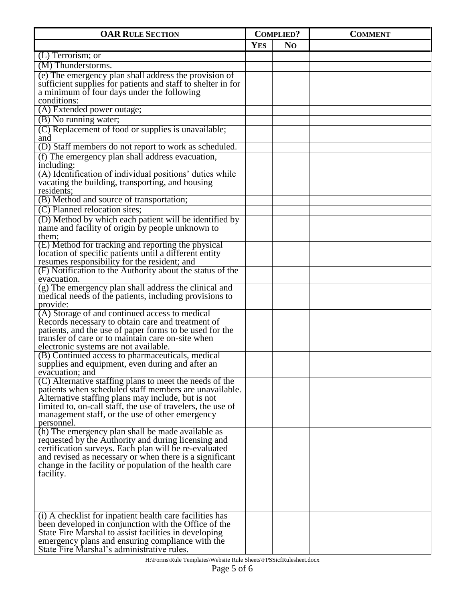| <b>OAR RULE SECTION</b>                                                                                           | <b>COMPLIED?</b> |                | <b>COMMENT</b> |
|-------------------------------------------------------------------------------------------------------------------|------------------|----------------|----------------|
|                                                                                                                   | <b>YES</b>       | N <sub>O</sub> |                |
| $(L)$ Terrorism; or                                                                                               |                  |                |                |
| (M) Thunderstorms.                                                                                                |                  |                |                |
| (e) The emergency plan shall address the provision of                                                             |                  |                |                |
| sufficient supplies for patients and staff to shelter in for<br>a minimum of four days under the following        |                  |                |                |
| conditions:                                                                                                       |                  |                |                |
| (A) Extended power outage;                                                                                        |                  |                |                |
| (B) No running water;                                                                                             |                  |                |                |
| (C) Replacement of food or supplies is unavailable;<br>and                                                        |                  |                |                |
| (D) Staff members do not report to work as scheduled.                                                             |                  |                |                |
| (f) The emergency plan shall address evacuation,                                                                  |                  |                |                |
| including:                                                                                                        |                  |                |                |
| (A) Identification of individual positions' duties while<br>vacating the building, transporting, and housing      |                  |                |                |
| residents;<br>(B) Method and source of transportation;                                                            |                  |                |                |
| (C) Planned relocation sites;                                                                                     |                  |                |                |
| (D) Method by which each patient will be identified by                                                            |                  |                |                |
| name and facility of origin by people unknown to                                                                  |                  |                |                |
| them;                                                                                                             |                  |                |                |
| (E) Method for tracking and reporting the physical                                                                |                  |                |                |
| location of specific patients until a different entity<br>resumes responsibility for the resident; and            |                  |                |                |
| (F) Notification to the Authority about the status of the                                                         |                  |                |                |
| evacuation.                                                                                                       |                  |                |                |
| (g) The emergency plan shall address the clinical and                                                             |                  |                |                |
| medical needs of the patients, including provisions to<br>provide:                                                |                  |                |                |
| (A) Storage of and continued access to medical                                                                    |                  |                |                |
| Records necessary to obtain care and treatment of                                                                 |                  |                |                |
| patients, and the use of paper forms to be used for the                                                           |                  |                |                |
| transfer of care or to maintain care on-site when                                                                 |                  |                |                |
| electronic systems are not available.                                                                             |                  |                |                |
| (B) Continued access to pharmaceuticals, medical<br>supplies and equipment, even during and after an              |                  |                |                |
| evacuation; and                                                                                                   |                  |                |                |
| (C) Alternative staffing plans to meet the needs of the                                                           |                  |                |                |
| patients when scheduled staff members are unavailable.                                                            |                  |                |                |
| Alternative staffing plans may include, but is not<br>limited to, on-call staff, the use of travelers, the use of |                  |                |                |
| management staff, or the use of other emergency                                                                   |                  |                |                |
| personnel.                                                                                                        |                  |                |                |
| (h) The emergency plan shall be made available as                                                                 |                  |                |                |
| requested by the Authority and during licensing and                                                               |                  |                |                |
| certification surveys. Each plan will be re-evaluated<br>and revised as necessary or when there is a significant  |                  |                |                |
| change in the facility or population of the health care                                                           |                  |                |                |
| facility.                                                                                                         |                  |                |                |
|                                                                                                                   |                  |                |                |
|                                                                                                                   |                  |                |                |
|                                                                                                                   |                  |                |                |
| (i) A checklist for inpatient health care facilities has                                                          |                  |                |                |
| been developed in conjunction with the Office of the                                                              |                  |                |                |
| State Fire Marshal to assist facilities in developing                                                             |                  |                |                |
| emergency plans and ensuring compliance with the<br>State Fire Marshal's administrative rules.                    |                  |                |                |